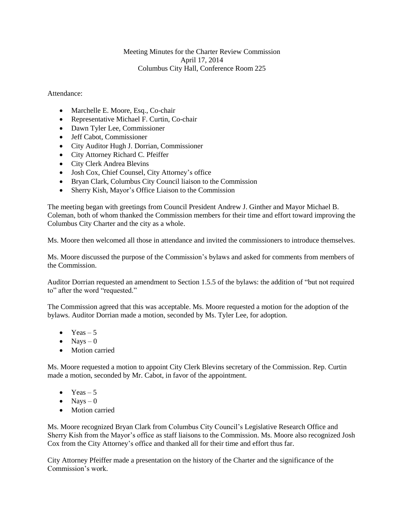## Meeting Minutes for the Charter Review Commission April 17, 2014 Columbus City Hall, Conference Room 225

## Attendance:

- Marchelle E. Moore, Esq., Co-chair
- Representative Michael F. Curtin, Co-chair
- Dawn Tyler Lee, Commissioner
- Jeff Cabot, Commissioner
- City Auditor Hugh J. Dorrian, Commissioner
- City Attorney Richard C. Pfeiffer
- City Clerk Andrea Blevins
- Josh Cox, Chief Counsel, City Attorney's office
- Bryan Clark, Columbus City Council liaison to the Commission
- Sherry Kish, Mayor's Office Liaison to the Commission

The meeting began with greetings from Council President Andrew J. Ginther and Mayor Michael B. Coleman, both of whom thanked the Commission members for their time and effort toward improving the Columbus City Charter and the city as a whole.

Ms. Moore then welcomed all those in attendance and invited the commissioners to introduce themselves.

Ms. Moore discussed the purpose of the Commission's bylaws and asked for comments from members of the Commission.

Auditor Dorrian requested an amendment to Section 1.5.5 of the bylaws: the addition of "but not required to" after the word "requested."

The Commission agreed that this was acceptable. Ms. Moore requested a motion for the adoption of the bylaws. Auditor Dorrian made a motion, seconded by Ms. Tyler Lee, for adoption.

- $\bullet$  Yeas 5
- $\bullet$  Navs 0
- Motion carried

Ms. Moore requested a motion to appoint City Clerk Blevins secretary of the Commission. Rep. Curtin made a motion, seconded by Mr. Cabot, in favor of the appointment.

- Yeas  $-5$
- $\bullet$  Nays 0
- Motion carried

Ms. Moore recognized Bryan Clark from Columbus City Council's Legislative Research Office and Sherry Kish from the Mayor's office as staff liaisons to the Commission. Ms. Moore also recognized Josh Cox from the City Attorney's office and thanked all for their time and effort thus far.

City Attorney Pfeiffer made a presentation on the history of the Charter and the significance of the Commission's work.